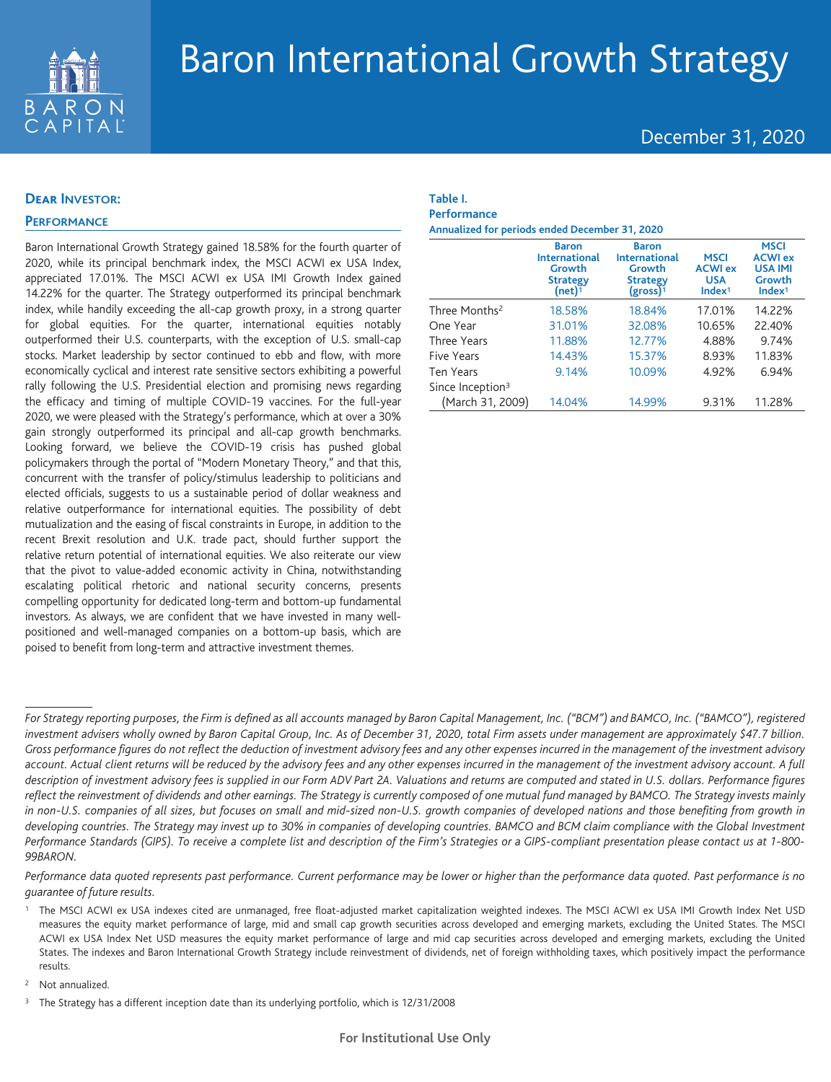

# Baron International Growth Strategy

# December 31, 2020

## **Dear INVESTOR:**

# **PERFORMANCE**

Baron International Growth Strategy gained 18.58% for the fourth quarter of 2020, while its principal benchmark index, the MSCI ACWI ex USA Index, appreciated 17.01%. The MSCI ACWI ex USA IMI Growth Index gained 14.22% for the quarter. The Strategy outperformed its principal benchmark index, while handily exceeding the all-cap growth proxy, in a strong quarter for global equities. For the quarter, international equities notably outperformed their U.S. counterparts, with the exception of U.S. small-cap stocks. Market leadership by sector continued to ebb and flow, with more economically cyclical and interest rate sensitive sectors exhibiting a powerful rally following the U.S. Presidential election and promising news regarding the efficacy and timing of multiple COVID-19 vaccines. For the full-year 2020, we were pleased with the Strategy's performance, which at over a 30% gain strongly outperformed its principal and all-cap growth benchmarks. Looking forward, we believe the COVID-19 crisis has pushed global policymakers through the portal of "Modern Monetary Theory," and that this, concurrent with the transfer of policy/stimulus leadership to politicians and elected officials, suggests to us a sustainable period of dollar weakness and relative outperformance for international equities. The possibility of debt mutualization and the easing of fiscal constraints in Europe, in addition to the recent Brexit resolution and U.K. trade pact, should further support the relative return potential of international equities. We also reiterate our view that the pivot to value-added economic activity in China, notwithstanding escalating political rhetoric and national security concerns, presents compelling opportunity for dedicated long-term and bottom-up fundamental investors. As always, we are confident that we have invested in many wellpositioned and well-managed companies on a bottom-up basis, which are poised to benefit from long-term and attractive investment themes.

### **Table I. Performance**

**Annualized for periods ended December 31, 2020**

|                              | <b>Baron</b><br><b>International</b><br>Growth<br><b>Strategy</b><br>(net) <sup>1</sup> | <b>Baron</b><br><b>International</b><br>Growth<br><b>Strategy</b><br>$(gross)^1$ | <b>MSCI</b><br><b>ACWI ex</b><br><b>USA</b><br>Index <sup>1</sup> | <b>MSCI</b><br><b>ACWI ex</b><br><b>USA IMI</b><br>Growth<br>Index <sup>1</sup> |
|------------------------------|-----------------------------------------------------------------------------------------|----------------------------------------------------------------------------------|-------------------------------------------------------------------|---------------------------------------------------------------------------------|
| Three Months <sup>2</sup>    | 18.58%                                                                                  | 18.84%                                                                           | 17.01%                                                            | 14.22%                                                                          |
| One Year                     | 31.01%                                                                                  | 32.08%                                                                           | 10.65%                                                            | 22.40%                                                                          |
| Three Years                  | 11.88%                                                                                  | 12.77%                                                                           | 4.88%                                                             | 9.74%                                                                           |
| <b>Five Years</b>            | 14.43%                                                                                  | 15.37%                                                                           | 8.93%                                                             | 11.83%                                                                          |
| <b>Ten Years</b>             | 9.14%                                                                                   | 10.09%                                                                           | 4.92%                                                             | 6.94%                                                                           |
| Since Inception <sup>3</sup> |                                                                                         |                                                                                  |                                                                   |                                                                                 |
| (March 31, 2009)             | 14.04%                                                                                  | 14.99%                                                                           | 9.31%                                                             | 11.28%                                                                          |

*For Strategy reporting purposes, the Firm is defined as all accounts managed by Baron Capital Management, Inc. ("BCM") and BAMCO, Inc. ("BAMCO"), registered investment advisers wholly owned by Baron Capital Group, Inc. As of December 31, 2020, total Firm assets under management are approximately \$47.7 billion. Gross performance figures do not reflect the deduction of investment advisory fees and any other expenses incurred in the management of the investment advisory account. Actual client returns will be reduced by the advisory fees and any other expenses incurred in the management of the investment advisory account. A full description of investment advisory fees is supplied in our Form ADV Part 2A. Valuations and returns are computed and stated in U.S. dollars. Performance figures reflect the reinvestment of dividends and other earnings. The Strategy is currently composed of one mutual fund managed by BAMCO. The Strategy invests mainly in non-U.S. companies of all sizes, but focuses on small and mid-sized non-U.S. growth companies of developed nations and those benefiting from growth in developing countries. The Strategy may invest up to 30% in companies of developing countries. BAMCO and BCM claim compliance with the Global Investment Performance Standards (GIPS). To receive a complete list and description of the Firm's Strategies or a GIPS-compliant presentation please contact us at 1-800- 99BARON.*

*Performance data quoted represents past performance. Current performance may be lower or higher than the performance data quoted. Past performance is no guarantee of future results.*

The MSCI ACWI ex USA indexes cited are unmanaged, free float-adjusted market capitalization weighted indexes. The MSCI ACWI ex USA IMI Growth Index Net USD measures the equity market performance of large, mid and small cap growth securities across developed and emerging markets, excluding the United States. The MSCI ACWI ex USA Index Net USD measures the equity market performance of large and mid cap securities across developed and emerging markets, excluding the United States. The indexes and Baron International Growth Strategy include reinvestment of dividends, net of foreign withholding taxes, which positively impact the performance results.

<sup>2</sup> Not annualized.

<sup>3</sup> The Strategy has a different inception date than its underlying portfolio, which is 12/31/2008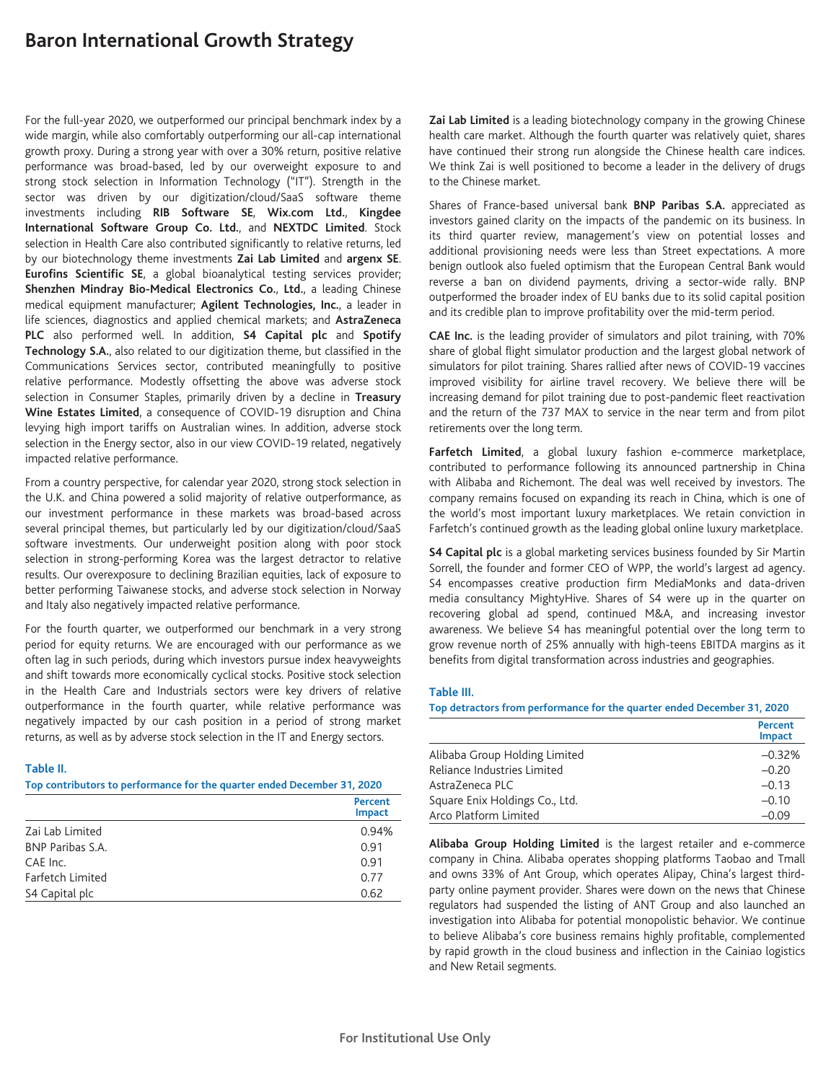# **Baron International Growth Strategy**

For the full-year 2020, we outperformed our principal benchmark index by a wide margin, while also comfortably outperforming our all-cap international growth proxy. During a strong year with over a 30% return, positive relative performance was broad-based, led by our overweight exposure to and strong stock selection in Information Technology ("IT"). Strength in the sector was driven by our digitization/cloud/SaaS software theme investments including **RIB Software SE**, **Wix.com Ltd.**, **Kingdee International Software Group Co. Ltd.**, and **NEXTDC Limited**. Stock selection in Health Care also contributed significantly to relative returns, led by our biotechnology theme investments **Zai Lab Limited** and **argenx SE**. **Eurofins Scientific SE**, a global bioanalytical testing services provider; **Shenzhen Mindray Bio-Medical Electronics Co.**, **Ltd.**, a leading Chinese medical equipment manufacturer; **Agilent Technologies, Inc.**, a leader in life sciences, diagnostics and applied chemical markets; and **AstraZeneca PLC** also performed well. In addition, **S4 Capital plc** and **Spotify Technology S.A.**, also related to our digitization theme, but classified in the Communications Services sector, contributed meaningfully to positive relative performance. Modestly offsetting the above was adverse stock selection in Consumer Staples, primarily driven by a decline in **Treasury Wine Estates Limited**, a consequence of COVID-19 disruption and China levying high import tariffs on Australian wines. In addition, adverse stock selection in the Energy sector, also in our view COVID-19 related, negatively impacted relative performance.

From a country perspective, for calendar year 2020, strong stock selection in the U.K. and China powered a solid majority of relative outperformance, as our investment performance in these markets was broad-based across several principal themes, but particularly led by our digitization/cloud/SaaS software investments. Our underweight position along with poor stock selection in strong-performing Korea was the largest detractor to relative results. Our overexposure to declining Brazilian equities, lack of exposure to better performing Taiwanese stocks, and adverse stock selection in Norway and Italy also negatively impacted relative performance.

For the fourth quarter, we outperformed our benchmark in a very strong period for equity returns. We are encouraged with our performance as we often lag in such periods, during which investors pursue index heavyweights and shift towards more economically cyclical stocks. Positive stock selection in the Health Care and Industrials sectors were key drivers of relative outperformance in the fourth quarter, while relative performance was negatively impacted by our cash position in a period of strong market returns, as well as by adverse stock selection in the IT and Energy sectors.

#### **Table II.**

**Top contributors to performance for the quarter ended December 31, 2020**

|                         | Percent<br>Impact |
|-------------------------|-------------------|
| Zai Lab Limited         | 0.94%             |
| <b>BNP Paribas S.A.</b> | 0.91              |
| CAE Inc.                | 0.91              |
| Farfetch Limited        | 0.77              |
| S4 Capital plc          | 0.62              |

**Zai Lab Limited** is a leading biotechnology company in the growing Chinese health care market. Although the fourth quarter was relatively quiet, shares have continued their strong run alongside the Chinese health care indices. We think Zai is well positioned to become a leader in the delivery of drugs to the Chinese market.

Shares of France-based universal bank **BNP Paribas S.A.** appreciated as investors gained clarity on the impacts of the pandemic on its business. In its third quarter review, management's view on potential losses and additional provisioning needs were less than Street expectations. A more benign outlook also fueled optimism that the European Central Bank would reverse a ban on dividend payments, driving a sector-wide rally. BNP outperformed the broader index of EU banks due to its solid capital position and its credible plan to improve profitability over the mid-term period.

**CAE Inc.** is the leading provider of simulators and pilot training, with 70% share of global flight simulator production and the largest global network of simulators for pilot training. Shares rallied after news of COVID-19 vaccines improved visibility for airline travel recovery. We believe there will be increasing demand for pilot training due to post-pandemic fleet reactivation and the return of the 737 MAX to service in the near term and from pilot retirements over the long term.

**Farfetch Limited**, a global luxury fashion e-commerce marketplace, contributed to performance following its announced partnership in China with Alibaba and Richemont. The deal was well received by investors. The company remains focused on expanding its reach in China, which is one of the world's most important luxury marketplaces. We retain conviction in Farfetch's continued growth as the leading global online luxury marketplace.

**S4 Capital plc** is a global marketing services business founded by Sir Martin Sorrell, the founder and former CEO of WPP, the world's largest ad agency. S4 encompasses creative production firm MediaMonks and data-driven media consultancy MightyHive. Shares of S4 were up in the quarter on recovering global ad spend, continued M&A, and increasing investor awareness. We believe S4 has meaningful potential over the long term to grow revenue north of 25% annually with high-teens EBITDA margins as it benefits from digital transformation across industries and geographies.

#### **Table III.**

**Top detractors from performance for the quarter ended December 31, 2020**

|                                | Percent<br><b>Impact</b> |
|--------------------------------|--------------------------|
| Alibaba Group Holding Limited  | $-0.32%$                 |
| Reliance Industries Limited    | $-0.20$                  |
| AstraZeneca PLC                | $-0.13$                  |
| Square Enix Holdings Co., Ltd. | $-0.10$                  |
| Arco Platform Limited          | $-0.09$                  |

**Alibaba Group Holding Limited** is the largest retailer and e-commerce company in China. Alibaba operates shopping platforms Taobao and Tmall and owns 33% of Ant Group, which operates Alipay, China's largest thirdparty online payment provider. Shares were down on the news that Chinese regulators had suspended the listing of ANT Group and also launched an investigation into Alibaba for potential monopolistic behavior. We continue to believe Alibaba's core business remains highly profitable, complemented by rapid growth in the cloud business and inflection in the Cainiao logistics and New Retail segments.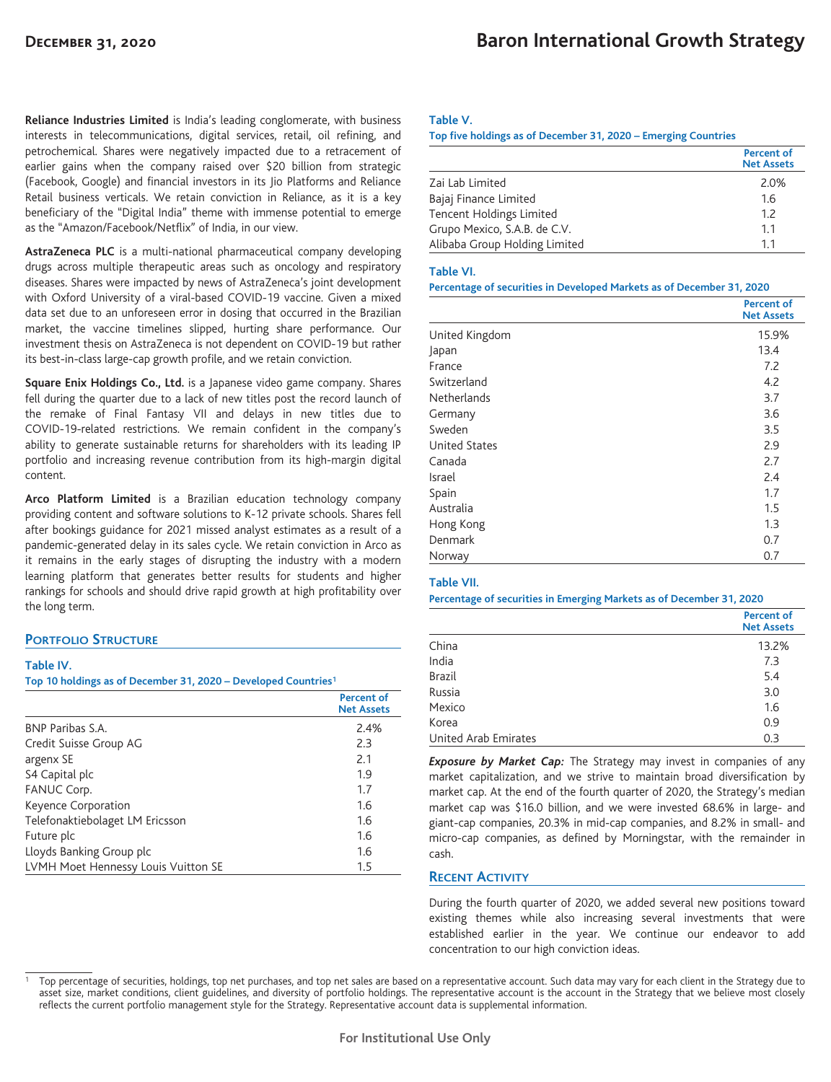**Reliance Industries Limited** is India's leading conglomerate, with business interests in telecommunications, digital services, retail, oil refining, and petrochemical. Shares were negatively impacted due to a retracement of earlier gains when the company raised over \$20 billion from strategic (Facebook, Google) and financial investors in its Jio Platforms and Reliance Retail business verticals. We retain conviction in Reliance, as it is a key beneficiary of the "Digital India" theme with immense potential to emerge as the "Amazon/Facebook/Netflix" of India, in our view.

**AstraZeneca PLC** is a multi-national pharmaceutical company developing drugs across multiple therapeutic areas such as oncology and respiratory diseases. Shares were impacted by news of AstraZeneca's joint development with Oxford University of a viral-based COVID-19 vaccine. Given a mixed data set due to an unforeseen error in dosing that occurred in the Brazilian market, the vaccine timelines slipped, hurting share performance. Our investment thesis on AstraZeneca is not dependent on COVID-19 but rather its best-in-class large-cap growth profile, and we retain conviction.

**Square Enix Holdings Co., Ltd.** is a Japanese video game company. Shares fell during the quarter due to a lack of new titles post the record launch of the remake of Final Fantasy VII and delays in new titles due to COVID-19-related restrictions. We remain confident in the company's ability to generate sustainable returns for shareholders with its leading IP portfolio and increasing revenue contribution from its high-margin digital content.

**Arco Platform Limited** is a Brazilian education technology company providing content and software solutions to K-12 private schools. Shares fell after bookings guidance for 2021 missed analyst estimates as a result of a pandemic-generated delay in its sales cycle. We retain conviction in Arco as it remains in the early stages of disrupting the industry with a modern learning platform that generates better results for students and higher rankings for schools and should drive rapid growth at high profitability over the long term.

## **PORTFOLIO STRUCTURE**

#### **Table IV.**

**Top 10 holdings as of December 31, 2020 – Developed Countries1**

|                                     | Percent of<br><b>Net Assets</b> |
|-------------------------------------|---------------------------------|
| <b>BNP Paribas S.A.</b>             | 2.4%                            |
| Credit Suisse Group AG              | 2.3                             |
| argenx SE                           | 2.1                             |
| S4 Capital plc                      | 1.9                             |
| FANUC Corp.                         | 1.7                             |
| Keyence Corporation                 | 1.6                             |
| Telefonaktiebolaget LM Ericsson     | 1.6                             |
| Future plc                          | 1.6                             |
| Lloyds Banking Group plc            | 1.6                             |
| LVMH Moet Hennessy Louis Vuitton SE | $1.5\,$                         |

#### **Table V.**

**Top five holdings as of December 31, 2020 – Emerging Countries**

|                               | <b>Percent of</b><br><b>Net Assets</b> |
|-------------------------------|----------------------------------------|
| Zai Lab Limited               | 2.0%                                   |
| Bajaj Finance Limited         | 1.6                                    |
| Tencent Holdings Limited      | 1.2                                    |
| Grupo Mexico, S.A.B. de C.V.  | 1.1                                    |
| Alibaba Group Holding Limited | 11                                     |

#### **Table VI.**

#### **Percentage of securities in Developed Markets as of December 31, 2020**

|                      | <b>Percent of</b><br><b>Net Assets</b> |
|----------------------|----------------------------------------|
| United Kingdom       | 15.9%                                  |
| Japan                | 13.4                                   |
| France               | 7.2                                    |
| Switzerland          | 4.2                                    |
| <b>Netherlands</b>   | 3.7                                    |
| Germany              | 3.6                                    |
| Sweden               | 3.5                                    |
| <b>United States</b> | 2.9                                    |
| Canada               | 2.7                                    |
| Israel               | 2.4                                    |
| Spain                | 1.7                                    |
| Australia            | 1.5                                    |
| Hong Kong            | 1.3                                    |
| Denmark              | 0.7                                    |
| Norway               | 0.7                                    |

#### **Table VII.**

**Percentage of securities in Emerging Markets as of December 31, 2020**

|                      | <b>Percent of</b><br><b>Net Assets</b> |
|----------------------|----------------------------------------|
| China                | 13.2%                                  |
| India                | 7.3                                    |
| <b>Brazil</b>        | 5.4                                    |
| Russia               | 3.0                                    |
| Mexico               | 1.6                                    |
| Korea                | 0.9                                    |
| United Arab Emirates | 0.3                                    |

**Exposure by Market Cap:** The Strategy may invest in companies of any market capitalization, and we strive to maintain broad diversification by market cap. At the end of the fourth quarter of 2020, the Strategy's median market cap was \$16.0 billion, and we were invested 68.6% in large- and giant-cap companies, 20.3% in mid-cap companies, and 8.2% in small- and micro-cap companies, as defined by Morningstar, with the remainder in cash.

## **RECENT ACTIVITY**

During the fourth quarter of 2020, we added several new positions toward existing themes while also increasing several investments that were established earlier in the year. We continue our endeavor to add concentration to our high conviction ideas.

Top percentage of securities, holdings, top net purchases, and top net sales are based on a representative account. Such data may vary for each client in the Strategy due to asset size, market conditions, client guidelines, and diversity of portfolio holdings. The representative account is the account in the Strategy that we believe most closely reflects the current portfolio management style for the Strategy. Representative account data is supplemental information.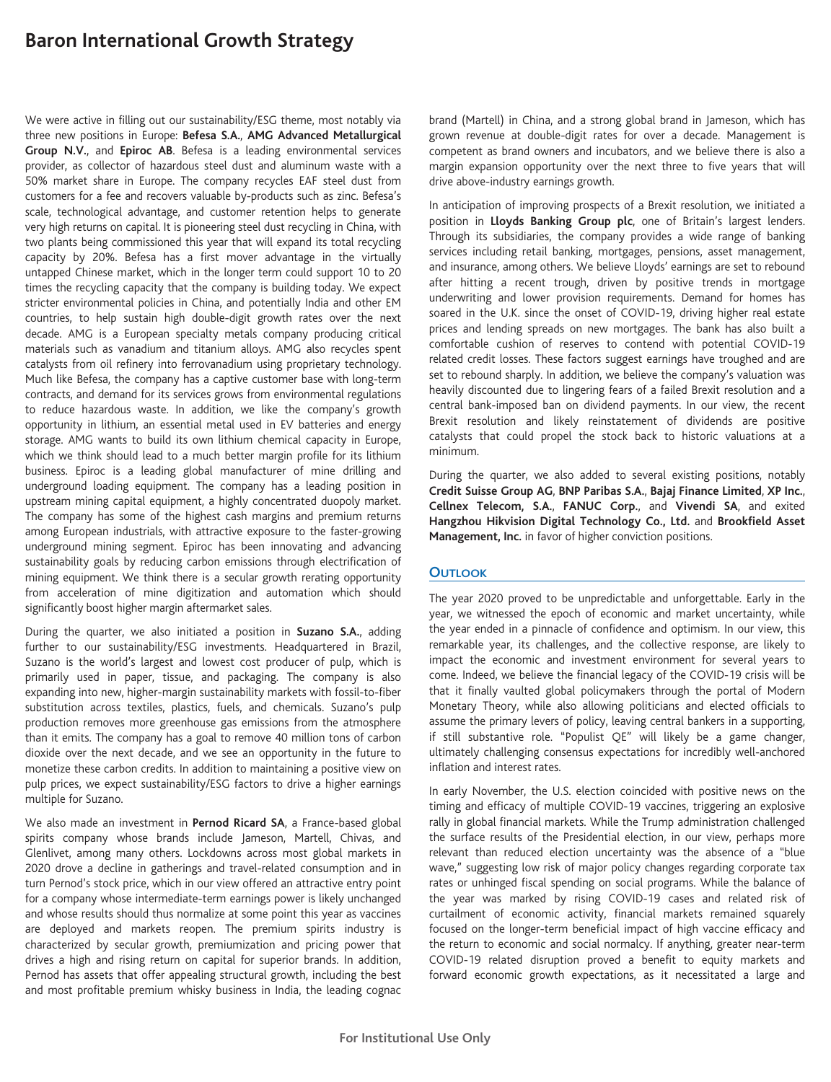# **Baron International Growth Strategy**

We were active in filling out our sustainability/ESG theme, most notably via three new positions in Europe: **Befesa S.A.**, **AMG Advanced Metallurgical Group N.V.**, and **Epiroc AB**. Befesa is a leading environmental services provider, as collector of hazardous steel dust and aluminum waste with a 50% market share in Europe. The company recycles EAF steel dust from customers for a fee and recovers valuable by-products such as zinc. Befesa's scale, technological advantage, and customer retention helps to generate very high returns on capital. It is pioneering steel dust recycling in China, with two plants being commissioned this year that will expand its total recycling capacity by 20%. Befesa has a first mover advantage in the virtually untapped Chinese market, which in the longer term could support 10 to 20 times the recycling capacity that the company is building today. We expect stricter environmental policies in China, and potentially India and other EM countries, to help sustain high double-digit growth rates over the next decade. AMG is a European specialty metals company producing critical materials such as vanadium and titanium alloys. AMG also recycles spent catalysts from oil refinery into ferrovanadium using proprietary technology. Much like Befesa, the company has a captive customer base with long-term contracts, and demand for its services grows from environmental regulations to reduce hazardous waste. In addition, we like the company's growth opportunity in lithium, an essential metal used in EV batteries and energy storage. AMG wants to build its own lithium chemical capacity in Europe, which we think should lead to a much better margin profile for its lithium business. Epiroc is a leading global manufacturer of mine drilling and underground loading equipment. The company has a leading position in upstream mining capital equipment, a highly concentrated duopoly market. The company has some of the highest cash margins and premium returns among European industrials, with attractive exposure to the faster-growing underground mining segment. Epiroc has been innovating and advancing sustainability goals by reducing carbon emissions through electrification of mining equipment. We think there is a secular growth rerating opportunity from acceleration of mine digitization and automation which should significantly boost higher margin aftermarket sales.

During the quarter, we also initiated a position in **Suzano S.A.**, adding further to our sustainability/ESG investments. Headquartered in Brazil, Suzano is the world's largest and lowest cost producer of pulp, which is primarily used in paper, tissue, and packaging. The company is also expanding into new, higher-margin sustainability markets with fossil-to-fiber substitution across textiles, plastics, fuels, and chemicals. Suzano's pulp production removes more greenhouse gas emissions from the atmosphere than it emits. The company has a goal to remove 40 million tons of carbon dioxide over the next decade, and we see an opportunity in the future to monetize these carbon credits. In addition to maintaining a positive view on pulp prices, we expect sustainability/ESG factors to drive a higher earnings multiple for Suzano.

We also made an investment in **Pernod Ricard SA**, a France-based global spirits company whose brands include Jameson, Martell, Chivas, and Glenlivet, among many others. Lockdowns across most global markets in 2020 drove a decline in gatherings and travel-related consumption and in turn Pernod's stock price, which in our view offered an attractive entry point for a company whose intermediate-term earnings power is likely unchanged and whose results should thus normalize at some point this year as vaccines are deployed and markets reopen. The premium spirits industry is characterized by secular growth, premiumization and pricing power that drives a high and rising return on capital for superior brands. In addition, Pernod has assets that offer appealing structural growth, including the best and most profitable premium whisky business in India, the leading cognac

brand (Martell) in China, and a strong global brand in Jameson, which has grown revenue at double-digit rates for over a decade. Management is competent as brand owners and incubators, and we believe there is also a margin expansion opportunity over the next three to five years that will drive above-industry earnings growth.

In anticipation of improving prospects of a Brexit resolution, we initiated a position in **Lloyds Banking Group plc**, one of Britain's largest lenders. Through its subsidiaries, the company provides a wide range of banking services including retail banking, mortgages, pensions, asset management, and insurance, among others. We believe Lloyds' earnings are set to rebound after hitting a recent trough, driven by positive trends in mortgage underwriting and lower provision requirements. Demand for homes has soared in the U.K. since the onset of COVID-19, driving higher real estate prices and lending spreads on new mortgages. The bank has also built a comfortable cushion of reserves to contend with potential COVID-19 related credit losses. These factors suggest earnings have troughed and are set to rebound sharply. In addition, we believe the company's valuation was heavily discounted due to lingering fears of a failed Brexit resolution and a central bank-imposed ban on dividend payments. In our view, the recent Brexit resolution and likely reinstatement of dividends are positive catalysts that could propel the stock back to historic valuations at a minimum.

During the quarter, we also added to several existing positions, notably **Credit Suisse Group AG**, **BNP Paribas S.A.**, **Bajaj Finance Limited**, **XP Inc.**, **Cellnex Telecom, S.A.**, **FANUC Corp.**, and **Vivendi SA**, and exited **Hangzhou Hikvision Digital Technology Co., Ltd.** and **Brookfield Asset Management, Inc.** in favor of higher conviction positions.

## **OUTLOOK**

The year 2020 proved to be unpredictable and unforgettable. Early in the year, we witnessed the epoch of economic and market uncertainty, while the year ended in a pinnacle of confidence and optimism. In our view, this remarkable year, its challenges, and the collective response, are likely to impact the economic and investment environment for several years to come. Indeed, we believe the financial legacy of the COVID-19 crisis will be that it finally vaulted global policymakers through the portal of Modern Monetary Theory, while also allowing politicians and elected officials to assume the primary levers of policy, leaving central bankers in a supporting, if still substantive role. "Populist QE" will likely be a game changer, ultimately challenging consensus expectations for incredibly well-anchored inflation and interest rates.

In early November, the U.S. election coincided with positive news on the timing and efficacy of multiple COVID-19 vaccines, triggering an explosive rally in global financial markets. While the Trump administration challenged the surface results of the Presidential election, in our view, perhaps more relevant than reduced election uncertainty was the absence of a "blue wave," suggesting low risk of major policy changes regarding corporate tax rates or unhinged fiscal spending on social programs. While the balance of the year was marked by rising COVID-19 cases and related risk of curtailment of economic activity, financial markets remained squarely focused on the longer-term beneficial impact of high vaccine efficacy and the return to economic and social normalcy. If anything, greater near-term COVID-19 related disruption proved a benefit to equity markets and forward economic growth expectations, as it necessitated a large and